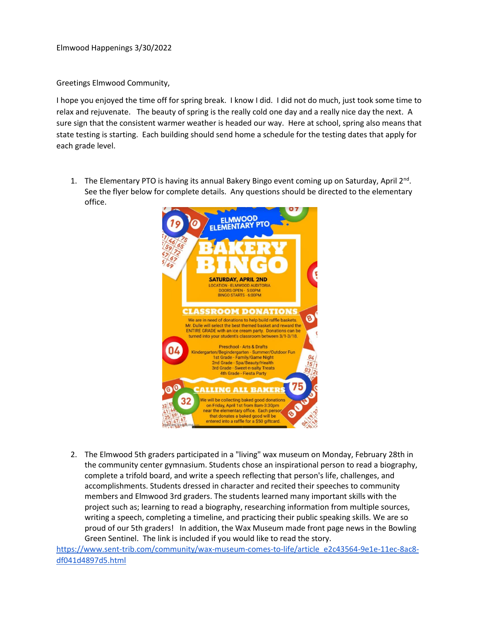Elmwood Happenings 3/30/2022

Greetings Elmwood Community,

I hope you enjoyed the time off for spring break. I know I did. I did not do much, just took some time to relax and rejuvenate. The beauty of spring is the really cold one day and a really nice day the next. A sure sign that the consistent warmer weather is headed our way. Here at school, spring also means that state testing is starting. Each building should send home a schedule for the testing dates that apply for each grade level.

1. The Elementary PTO is having its annual Bakery Bingo event coming up on Saturday, April 2<sup>nd</sup>. See the flyer below for complete details. Any questions should be directed to the elementary office.



2. The Elmwood 5th graders participated in a "living" wax museum on Monday, February 28th in the community center gymnasium. Students chose an inspirational person to read a biography, complete a trifold board, and write a speech reflecting that person's life, challenges, and accomplishments. Students dressed in character and recited their speeches to community members and Elmwood 3rd graders. The students learned many important skills with the project such as; learning to read a biography, researching information from multiple sources, writing a speech, completing a timeline, and practicing their public speaking skills. We are so proud of our 5th graders! In addition, the Wax Museum made front page news in the Bowling Green Sentinel. The link is included if you would like to read the story.

[https://www.sent-trib.com/community/wax-museum-comes-to-life/article\\_e2c43564-9e1e-11ec-8ac8](https://www.sent-trib.com/community/wax-museum-comes-to-life/article_e2c43564-9e1e-11ec-8ac8-df041d4897d5.html) [df041d4897d5.html](https://www.sent-trib.com/community/wax-museum-comes-to-life/article_e2c43564-9e1e-11ec-8ac8-df041d4897d5.html)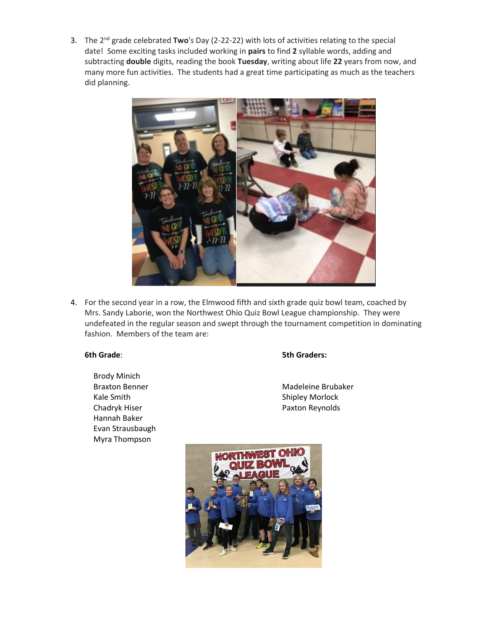3. The 2nd grade celebrated **Two**'s Day (2-22-22) with lots of activities relating to the special date! Some exciting tasks included working in **pairs** to find **2** syllable words, adding and subtracting **double** digits, reading the book **Tuesday**, writing about life **22** years from now, and many more fun activities. The students had a great time participating as much as the teachers did planning.



4. For the second year in a row, the Elmwood fifth and sixth grade quiz bowl team, coached by Mrs. Sandy Laborie, won the Northwest Ohio Quiz Bowl League championship. They were undefeated in the regular season and swept through the tournament competition in dominating fashion. Members of the team are:

Brody Minich Kale Smith Shipley Morlock Chadryk Hiser **Paxton Reynolds** Hannah Baker Evan Strausbaugh Myra Thompson

## **6th Grade**: **5th Graders:**

Braxton Benner Madeleine Brubaker